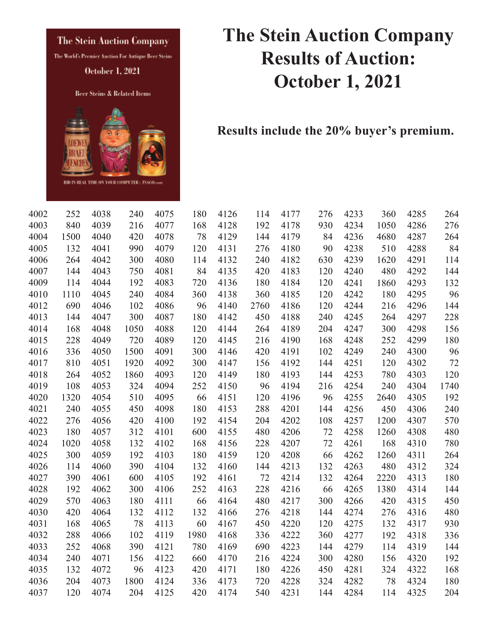

## **The Stein Auction Company Results of Auction: October 1, 2021**

**Results include the 20% buyer's premium.** 

| 4002 | 252  | 4038 | 240  | 4075 | 180  | 4126 | 114  | 4177 | 276 | 4233 | 360  | 4285 | 264  |
|------|------|------|------|------|------|------|------|------|-----|------|------|------|------|
| 4003 | 840  | 4039 | 216  | 4077 | 168  | 4128 | 192  | 4178 | 930 | 4234 | 1050 | 4286 | 276  |
| 4004 | 1500 | 4040 | 420  | 4078 | 78   | 4129 | 144  | 4179 | 84  | 4236 | 4680 | 4287 | 264  |
| 4005 | 132  | 4041 | 990  | 4079 | 120  | 4131 | 276  | 4180 | 90  | 4238 | 510  | 4288 | 84   |
| 4006 | 264  | 4042 | 300  | 4080 | 114  | 4132 | 240  | 4182 | 630 | 4239 | 1620 | 4291 | 114  |
| 4007 | 144  | 4043 | 750  | 4081 | 84   | 4135 | 420  | 4183 | 120 | 4240 | 480  | 4292 | 144  |
| 4009 | 114  | 4044 | 192  | 4083 | 720  | 4136 | 180  | 4184 | 120 | 4241 | 1860 | 4293 | 132  |
| 4010 | 1110 | 4045 | 240  | 4084 | 360  | 4138 | 360  | 4185 | 120 | 4242 | 180  | 4295 | 96   |
| 4012 | 690  | 4046 | 102  | 4086 | 96   | 4140 | 2760 | 4186 | 120 | 4244 | 216  | 4296 | 144  |
| 4013 | 144  | 4047 | 300  | 4087 | 180  | 4142 | 450  | 4188 | 240 | 4245 | 264  | 4297 | 228  |
| 4014 | 168  | 4048 | 1050 | 4088 | 120  | 4144 | 264  | 4189 | 204 | 4247 | 300  | 4298 | 156  |
| 4015 | 228  | 4049 | 720  | 4089 | 120  | 4145 | 216  | 4190 | 168 | 4248 | 252  | 4299 | 180  |
| 4016 | 336  | 4050 | 1500 | 4091 | 300  | 4146 | 420  | 4191 | 102 | 4249 | 240  | 4300 | 96   |
| 4017 | 810  | 4051 | 1920 | 4092 | 300  | 4147 | 156  | 4192 | 144 | 4251 | 120  | 4302 | 72   |
| 4018 | 264  | 4052 | 1860 | 4093 | 120  | 4149 | 180  | 4193 | 144 | 4253 | 780  | 4303 | 120  |
| 4019 | 108  | 4053 | 324  | 4094 | 252  | 4150 | 96   | 4194 | 216 | 4254 | 240  | 4304 | 1740 |
| 4020 | 1320 | 4054 | 510  | 4095 | 66   | 4151 | 120  | 4196 | 96  | 4255 | 2640 | 4305 | 192  |
| 4021 | 240  | 4055 | 450  | 4098 | 180  | 4153 | 288  | 4201 | 144 | 4256 | 450  | 4306 | 240  |
| 4022 | 276  | 4056 | 420  | 4100 | 192  | 4154 | 204  | 4202 | 108 | 4257 | 1200 | 4307 | 570  |
| 4023 | 180  | 4057 | 312  | 4101 | 600  | 4155 | 480  | 4206 | 72  | 4258 | 1260 | 4308 | 480  |
| 4024 | 1020 | 4058 | 132  | 4102 | 168  | 4156 | 228  | 4207 | 72  | 4261 | 168  | 4310 | 780  |
| 4025 | 300  | 4059 | 192  | 4103 | 180  | 4159 | 120  | 4208 | 66  | 4262 | 1260 | 4311 | 264  |
| 4026 | 114  | 4060 | 390  | 4104 | 132  | 4160 | 144  | 4213 | 132 | 4263 | 480  | 4312 | 324  |
| 4027 | 390  | 4061 | 600  | 4105 | 192  | 4161 | 72   | 4214 | 132 | 4264 | 2220 | 4313 | 180  |
| 4028 | 192  | 4062 | 300  | 4106 | 252  | 4163 | 228  | 4216 | 66  | 4265 | 1380 | 4314 | 144  |
| 4029 | 570  | 4063 | 180  | 4111 | 66   | 4164 | 480  | 4217 | 300 | 4266 | 420  | 4315 | 450  |
| 4030 | 420  | 4064 | 132  | 4112 | 132  | 4166 | 276  | 4218 | 144 | 4274 | 276  | 4316 | 480  |
| 4031 | 168  | 4065 | 78   | 4113 | 60   | 4167 | 450  | 4220 | 120 | 4275 | 132  | 4317 | 930  |
| 4032 | 288  | 4066 | 102  | 4119 | 1980 | 4168 | 336  | 4222 | 360 | 4277 | 192  | 4318 | 336  |
| 4033 | 252  | 4068 | 390  | 4121 | 780  | 4169 | 690  | 4223 | 144 | 4279 | 114  | 4319 | 144  |
| 4034 | 240  | 4071 | 156  | 4122 | 660  | 4170 | 216  | 4224 | 300 | 4280 | 156  | 4320 | 192  |
| 4035 | 132  | 4072 | 96   | 4123 | 420  | 4171 | 180  | 4226 | 450 | 4281 | 324  | 4322 | 168  |
| 4036 | 204  | 4073 | 1800 | 4124 | 336  | 4173 | 720  | 4228 | 324 | 4282 | 78   | 4324 | 180  |
| 4037 | 120  | 4074 | 204  | 4125 | 420  | 4174 | 540  | 4231 | 144 | 4284 | 114  | 4325 | 204  |